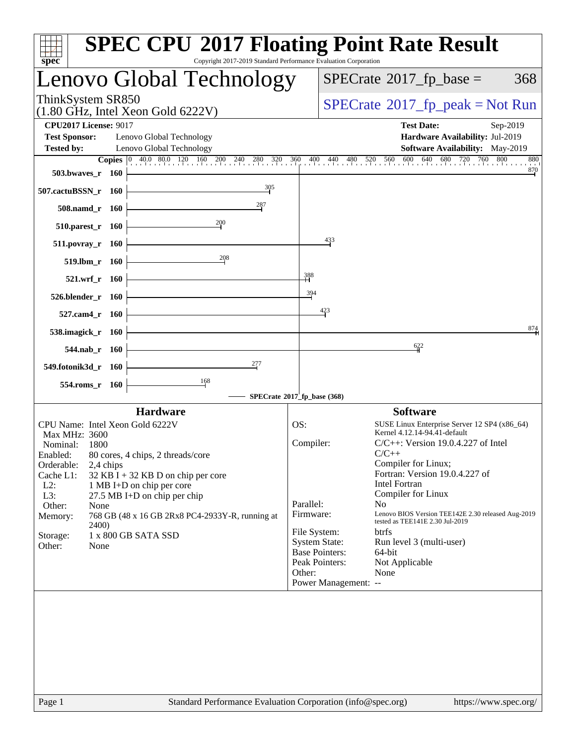| spec <sup>®</sup>                                                                                                            |                                            | <b>SPEC CPU®2017 Floating Point Rate Result</b><br>Copyright 2017-2019 Standard Performance Evaluation Corporation                                                                                                                                  |                                                      |                                                                                                         |                                                                                                                                                                                                                                                                                                                                                                                                                                    |  |  |
|------------------------------------------------------------------------------------------------------------------------------|--------------------------------------------|-----------------------------------------------------------------------------------------------------------------------------------------------------------------------------------------------------------------------------------------------------|------------------------------------------------------|---------------------------------------------------------------------------------------------------------|------------------------------------------------------------------------------------------------------------------------------------------------------------------------------------------------------------------------------------------------------------------------------------------------------------------------------------------------------------------------------------------------------------------------------------|--|--|
|                                                                                                                              |                                            | Lenovo Global Technology                                                                                                                                                                                                                            |                                                      |                                                                                                         | $SPECrate^{\circ}2017$ fp base =<br>368                                                                                                                                                                                                                                                                                                                                                                                            |  |  |
| ThinkSystem SR850                                                                                                            |                                            | $(1.80 \text{ GHz}, \text{Intel Xeon Gold } 6222 \text{V})$                                                                                                                                                                                         | $SPECrate^{\circ}2017rfp peak = Not Run$             |                                                                                                         |                                                                                                                                                                                                                                                                                                                                                                                                                                    |  |  |
| <b>CPU2017 License: 9017</b><br><b>Test Sponsor:</b><br><b>Tested by:</b>                                                    |                                            | Lenovo Global Technology<br>Lenovo Global Technology                                                                                                                                                                                                |                                                      |                                                                                                         | <b>Test Date:</b><br>Sep-2019<br>Hardware Availability: Jul-2019<br><b>Software Availability:</b> May-2019                                                                                                                                                                                                                                                                                                                         |  |  |
|                                                                                                                              |                                            | <b>Copies</b> $\begin{bmatrix} 0 & 40.0 & 80.0 & 120 & 160 & 200 & 240 & 280 & 320 & 360 & 400 & 440 & 480 \end{bmatrix}$                                                                                                                           |                                                      |                                                                                                         | 680<br>720<br>760<br>800<br>520 560 600 640<br>880                                                                                                                                                                                                                                                                                                                                                                                 |  |  |
| 503.bwaves_r 160                                                                                                             |                                            |                                                                                                                                                                                                                                                     |                                                      |                                                                                                         | $\frac{870}{4}$                                                                                                                                                                                                                                                                                                                                                                                                                    |  |  |
| 507.cactuBSSN_r 160                                                                                                          |                                            | 305                                                                                                                                                                                                                                                 |                                                      |                                                                                                         |                                                                                                                                                                                                                                                                                                                                                                                                                                    |  |  |
|                                                                                                                              | 508.namd_r 160                             | 287                                                                                                                                                                                                                                                 |                                                      |                                                                                                         |                                                                                                                                                                                                                                                                                                                                                                                                                                    |  |  |
|                                                                                                                              | 510.parest_r 160                           | 200                                                                                                                                                                                                                                                 |                                                      |                                                                                                         |                                                                                                                                                                                                                                                                                                                                                                                                                                    |  |  |
|                                                                                                                              | 511.povray_r 160                           |                                                                                                                                                                                                                                                     |                                                      | 433                                                                                                     |                                                                                                                                                                                                                                                                                                                                                                                                                                    |  |  |
|                                                                                                                              | 519.lbm r 160                              | 208                                                                                                                                                                                                                                                 |                                                      |                                                                                                         |                                                                                                                                                                                                                                                                                                                                                                                                                                    |  |  |
|                                                                                                                              | 521.wrf_r 160                              |                                                                                                                                                                                                                                                     | $\frac{388}{11}$                                     |                                                                                                         |                                                                                                                                                                                                                                                                                                                                                                                                                                    |  |  |
|                                                                                                                              |                                            |                                                                                                                                                                                                                                                     | 394                                                  |                                                                                                         |                                                                                                                                                                                                                                                                                                                                                                                                                                    |  |  |
| 526.blender_r 160                                                                                                            |                                            |                                                                                                                                                                                                                                                     |                                                      | 423                                                                                                     |                                                                                                                                                                                                                                                                                                                                                                                                                                    |  |  |
|                                                                                                                              | 527.cam4 r 160                             |                                                                                                                                                                                                                                                     |                                                      |                                                                                                         | 874                                                                                                                                                                                                                                                                                                                                                                                                                                |  |  |
| 538.imagick_r 160                                                                                                            |                                            |                                                                                                                                                                                                                                                     |                                                      |                                                                                                         |                                                                                                                                                                                                                                                                                                                                                                                                                                    |  |  |
|                                                                                                                              | 544.nab_r 160                              |                                                                                                                                                                                                                                                     |                                                      |                                                                                                         | 622                                                                                                                                                                                                                                                                                                                                                                                                                                |  |  |
| 549.fotonik3d_r 160                                                                                                          |                                            | 277                                                                                                                                                                                                                                                 |                                                      |                                                                                                         |                                                                                                                                                                                                                                                                                                                                                                                                                                    |  |  |
|                                                                                                                              | 554.roms_r 160                             | 168                                                                                                                                                                                                                                                 |                                                      |                                                                                                         |                                                                                                                                                                                                                                                                                                                                                                                                                                    |  |  |
|                                                                                                                              |                                            | <b>Hardware</b>                                                                                                                                                                                                                                     | SPECrate®2017_fp_base (368)                          |                                                                                                         | <b>Software</b>                                                                                                                                                                                                                                                                                                                                                                                                                    |  |  |
| Max MHz: 3600<br>Nominal:<br>Enabled:<br>Orderable:<br>Cache L1:<br>$L2$ :<br>L3:<br>Other:<br>Memory:<br>Storage:<br>Other: | 1800<br>2,4 chips<br>None<br>2400)<br>None | CPU Name: Intel Xeon Gold 6222V<br>80 cores, 4 chips, 2 threads/core<br>$32$ KB I + 32 KB D on chip per core<br>1 MB I+D on chip per core<br>27.5 MB I+D on chip per chip<br>768 GB (48 x 16 GB 2Rx8 PC4-2933Y-R, running at<br>1 x 800 GB SATA SSD | OS:<br>Compiler:<br>Parallel:<br>Firmware:<br>Other: | File System:<br><b>System State:</b><br><b>Base Pointers:</b><br>Peak Pointers:<br>Power Management: -- | SUSE Linux Enterprise Server 12 SP4 (x86_64)<br>Kernel 4.12.14-94.41-default<br>$C/C++$ : Version 19.0.4.227 of Intel<br>$C/C++$<br>Compiler for Linux;<br>Fortran: Version 19.0.4.227 of<br><b>Intel Fortran</b><br>Compiler for Linux<br>N <sub>o</sub><br>Lenovo BIOS Version TEE142E 2.30 released Aug-2019<br>tested as TEE141E 2.30 Jul-2019<br><b>btrfs</b><br>Run level 3 (multi-user)<br>64-bit<br>Not Applicable<br>None |  |  |
| Page 1                                                                                                                       |                                            | Standard Performance Evaluation Corporation (info@spec.org)                                                                                                                                                                                         |                                                      |                                                                                                         | https://www.spec.org/                                                                                                                                                                                                                                                                                                                                                                                                              |  |  |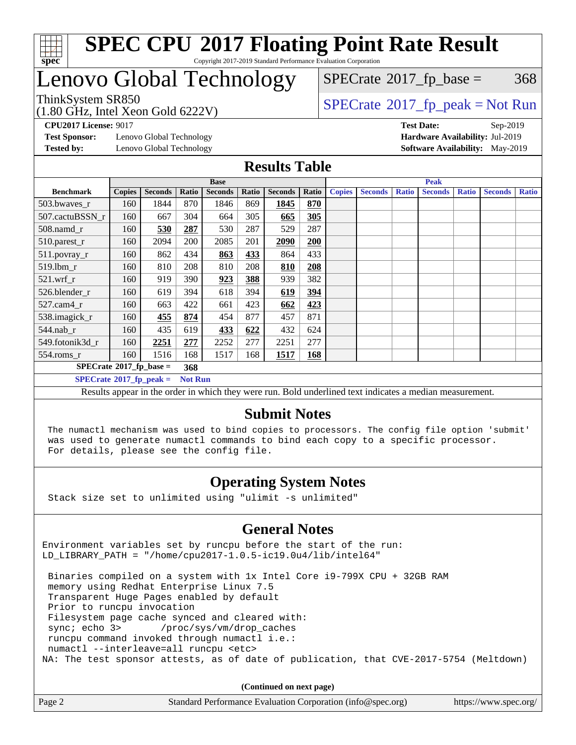

# Lenovo Global Technology

(1.80 GHz, Intel Xeon Gold 6222V)

 $SPECTate@2017_fp\_peak = Not Run$  $SPECTate$ <sup>®</sup>[2017\\_fp\\_base =](http://www.spec.org/auto/cpu2017/Docs/result-fields.html#SPECrate2017fpbase) 368

**[Test Sponsor:](http://www.spec.org/auto/cpu2017/Docs/result-fields.html#TestSponsor)** Lenovo Global Technology **[Hardware Availability:](http://www.spec.org/auto/cpu2017/Docs/result-fields.html#HardwareAvailability)** Jul-2019 **[Tested by:](http://www.spec.org/auto/cpu2017/Docs/result-fields.html#Testedby)** Lenovo Global Technology **[Software Availability:](http://www.spec.org/auto/cpu2017/Docs/result-fields.html#SoftwareAvailability)** May-2019

**[CPU2017 License:](http://www.spec.org/auto/cpu2017/Docs/result-fields.html#CPU2017License)** 9017 **[Test Date:](http://www.spec.org/auto/cpu2017/Docs/result-fields.html#TestDate)** Sep-2019

### **[Results Table](http://www.spec.org/auto/cpu2017/Docs/result-fields.html#ResultsTable)**

|                                    |                |                |       | <b>Base</b>    |       |                | <b>Peak</b> |               |                |              |                |              |                |              |
|------------------------------------|----------------|----------------|-------|----------------|-------|----------------|-------------|---------------|----------------|--------------|----------------|--------------|----------------|--------------|
| <b>Benchmark</b>                   | <b>Copies</b>  | <b>Seconds</b> | Ratio | <b>Seconds</b> | Ratio | <b>Seconds</b> | Ratio       | <b>Copies</b> | <b>Seconds</b> | <b>Ratio</b> | <b>Seconds</b> | <b>Ratio</b> | <b>Seconds</b> | <b>Ratio</b> |
| 503.bwayes_r                       | 160            | 1844           | 870   | 1846           | 869   | 1845           | 870         |               |                |              |                |              |                |              |
| 507.cactuBSSN r                    | 160            | 667            | 304   | 664            | 305   | 665            | 305         |               |                |              |                |              |                |              |
| $508$ .namd $r$                    | 160            | 530            | 287   | 530            | 287   | 529            | 287         |               |                |              |                |              |                |              |
| 510.parest_r                       | 160            | 2094           | 200   | 2085           | 201   | 2090           | 200         |               |                |              |                |              |                |              |
| 511.povray_r                       | 160            | 862            | 434   | 863            | 433   | 864            | 433         |               |                |              |                |              |                |              |
| 519.1bm r                          | 160            | 810            | 208   | 810            | 208   | 810            | 208         |               |                |              |                |              |                |              |
| 521.wrf                            | 160            | 919            | 390   | 923            | 388   | 939            | 382         |               |                |              |                |              |                |              |
| 526.blender r                      | 160            | 619            | 394   | 618            | 394   | 619            | 394         |               |                |              |                |              |                |              |
| $527$ .cam $4r$                    | 160            | 663            | 422   | 661            | 423   | 662            | 423         |               |                |              |                |              |                |              |
| 538.imagick_r                      | 160            | 455            | 874   | 454            | 877   | 457            | 871         |               |                |              |                |              |                |              |
| 544.nab_r                          | 160            | 435            | 619   | 433            | 622   | 432            | 624         |               |                |              |                |              |                |              |
| 549.fotonik3d r                    | 160            | 2251           | 277   | 2252           | 277   | 2251           | 277         |               |                |              |                |              |                |              |
| $554$ .roms_r                      | 160            | 1516           | 168   | 1517           | 168   | 1517           | 168         |               |                |              |                |              |                |              |
| $SPECrate^{\otimes}2017$ fp base = |                |                | 368   |                |       |                |             |               |                |              |                |              |                |              |
| $SPECrate^{\circ}2017$ _fp_peak =  | <b>Not Run</b> |                |       |                |       |                |             |               |                |              |                |              |                |              |

Results appear in the [order in which they were run](http://www.spec.org/auto/cpu2017/Docs/result-fields.html#RunOrder). Bold underlined text [indicates a median measurement](http://www.spec.org/auto/cpu2017/Docs/result-fields.html#Median).

#### **[Submit Notes](http://www.spec.org/auto/cpu2017/Docs/result-fields.html#SubmitNotes)**

 The numactl mechanism was used to bind copies to processors. The config file option 'submit' was used to generate numactl commands to bind each copy to a specific processor. For details, please see the config file.

### **[Operating System Notes](http://www.spec.org/auto/cpu2017/Docs/result-fields.html#OperatingSystemNotes)**

Stack size set to unlimited using "ulimit -s unlimited"

#### **[General Notes](http://www.spec.org/auto/cpu2017/Docs/result-fields.html#GeneralNotes)**

Environment variables set by runcpu before the start of the run: LD LIBRARY PATH = "/home/cpu2017-1.0.5-ic19.0u4/lib/intel64"

 Binaries compiled on a system with 1x Intel Core i9-799X CPU + 32GB RAM memory using Redhat Enterprise Linux 7.5 Transparent Huge Pages enabled by default Prior to runcpu invocation Filesystem page cache synced and cleared with: sync; echo 3> /proc/sys/vm/drop\_caches runcpu command invoked through numactl i.e.: numactl --interleave=all runcpu <etc> NA: The test sponsor attests, as of date of publication, that CVE-2017-5754 (Meltdown)

**(Continued on next page)**

| Page 2 | Standard Performance Evaluation Corporation (info@spec.org) | https://www.spec.org/ |
|--------|-------------------------------------------------------------|-----------------------|
|--------|-------------------------------------------------------------|-----------------------|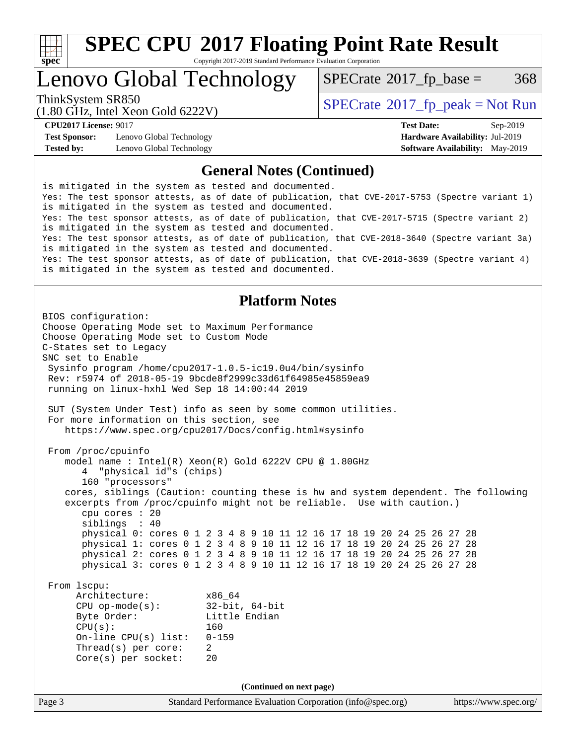

Copyright 2017-2019 Standard Performance Evaluation Corporation

# Lenovo Global Technology

 $SPECTate$ <sup>®</sup>[2017\\_fp\\_base =](http://www.spec.org/auto/cpu2017/Docs/result-fields.html#SPECrate2017fpbase) 368

(1.80 GHz, Intel Xeon Gold 6222V)

ThinkSystem SR850<br>  $\begin{array}{c}\n\text{SPECrate} \textcirc 2017 \text{ fp } peak = Not Run\n\end{array}$  $\begin{array}{c}\n\text{SPECrate} \textcirc 2017 \text{ fp } peak = Not Run\n\end{array}$  $\begin{array}{c}\n\text{SPECrate} \textcirc 2017 \text{ fp } peak = Not Run\n\end{array}$ 

**[Test Sponsor:](http://www.spec.org/auto/cpu2017/Docs/result-fields.html#TestSponsor)** Lenovo Global Technology **[Hardware Availability:](http://www.spec.org/auto/cpu2017/Docs/result-fields.html#HardwareAvailability)** Jul-2019 **[Tested by:](http://www.spec.org/auto/cpu2017/Docs/result-fields.html#Testedby)** Lenovo Global Technology **[Software Availability:](http://www.spec.org/auto/cpu2017/Docs/result-fields.html#SoftwareAvailability)** May-2019

**[CPU2017 License:](http://www.spec.org/auto/cpu2017/Docs/result-fields.html#CPU2017License)** 9017 **[Test Date:](http://www.spec.org/auto/cpu2017/Docs/result-fields.html#TestDate)** Sep-2019

#### **[General Notes \(Continued\)](http://www.spec.org/auto/cpu2017/Docs/result-fields.html#GeneralNotes)**

is mitigated in the system as tested and documented. Yes: The test sponsor attests, as of date of publication, that CVE-2017-5753 (Spectre variant 1) is mitigated in the system as tested and documented. Yes: The test sponsor attests, as of date of publication, that CVE-2017-5715 (Spectre variant 2) is mitigated in the system as tested and documented. Yes: The test sponsor attests, as of date of publication, that CVE-2018-3640 (Spectre variant 3a) is mitigated in the system as tested and documented. Yes: The test sponsor attests, as of date of publication, that CVE-2018-3639 (Spectre variant 4) is mitigated in the system as tested and documented.

#### **[Platform Notes](http://www.spec.org/auto/cpu2017/Docs/result-fields.html#PlatformNotes)**

```
Page 3 Standard Performance Evaluation Corporation (info@spec.org) https://www.spec.org/
BIOS configuration:
Choose Operating Mode set to Maximum Performance
Choose Operating Mode set to Custom Mode
C-States set to Legacy
SNC set to Enable
  Sysinfo program /home/cpu2017-1.0.5-ic19.0u4/bin/sysinfo
  Rev: r5974 of 2018-05-19 9bcde8f2999c33d61f64985e45859ea9
  running on linux-hxhl Wed Sep 18 14:00:44 2019
  SUT (System Under Test) info as seen by some common utilities.
  For more information on this section, see
     https://www.spec.org/cpu2017/Docs/config.html#sysinfo
  From /proc/cpuinfo
     model name : Intel(R) Xeon(R) Gold 6222V CPU @ 1.80GHz
        4 "physical id"s (chips)
        160 "processors"
     cores, siblings (Caution: counting these is hw and system dependent. The following
     excerpts from /proc/cpuinfo might not be reliable. Use with caution.)
        cpu cores : 20
        siblings : 40
        physical 0: cores 0 1 2 3 4 8 9 10 11 12 16 17 18 19 20 24 25 26 27 28
        physical 1: cores 0 1 2 3 4 8 9 10 11 12 16 17 18 19 20 24 25 26 27 28
        physical 2: cores 0 1 2 3 4 8 9 10 11 12 16 17 18 19 20 24 25 26 27 28
        physical 3: cores 0 1 2 3 4 8 9 10 11 12 16 17 18 19 20 24 25 26 27 28
  From lscpu:
      Architecture: x86_64
       CPU op-mode(s): 32-bit, 64-bit
      Byte Order: Little Endian
       CPU(s): 160
       On-line CPU(s) list: 0-159
      Thread(s) per core: 2
       Core(s) per socket: 20
                                   (Continued on next page)
```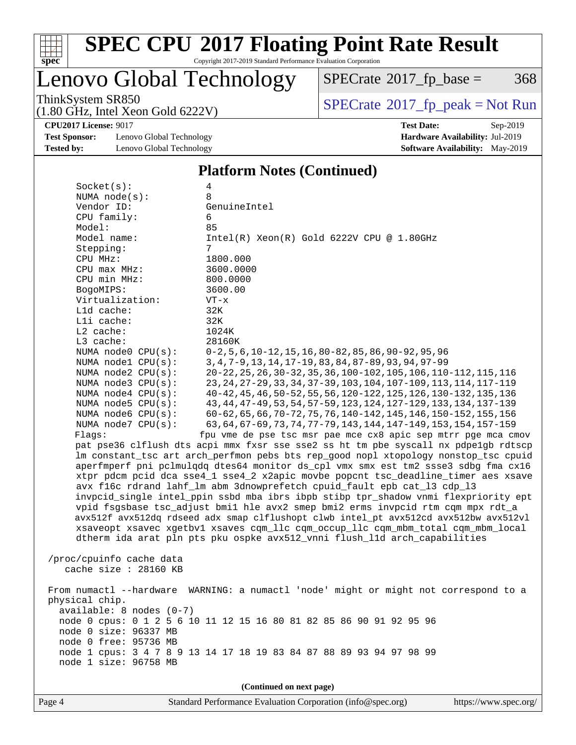

Copyright 2017-2019 Standard Performance Evaluation Corporation

# Lenovo Global Technology

 $SPECTate@2017_fp\_base = 368$ 

(1.80 GHz, Intel Xeon Gold 6222V)

ThinkSystem SR850<br>(1.80 GHz, Intel Xeon Gold 6222V) [SPECrate](http://www.spec.org/auto/cpu2017/Docs/result-fields.html#SPECrate2017fppeak)®[2017\\_fp\\_peak = N](http://www.spec.org/auto/cpu2017/Docs/result-fields.html#SPECrate2017fppeak)ot Run

**[CPU2017 License:](http://www.spec.org/auto/cpu2017/Docs/result-fields.html#CPU2017License)** 9017 **[Test Date:](http://www.spec.org/auto/cpu2017/Docs/result-fields.html#TestDate)** Sep-2019

**[Test Sponsor:](http://www.spec.org/auto/cpu2017/Docs/result-fields.html#TestSponsor)** Lenovo Global Technology **[Hardware Availability:](http://www.spec.org/auto/cpu2017/Docs/result-fields.html#HardwareAvailability)** Jul-2019 **[Tested by:](http://www.spec.org/auto/cpu2017/Docs/result-fields.html#Testedby)** Lenovo Global Technology **[Software Availability:](http://www.spec.org/auto/cpu2017/Docs/result-fields.html#SoftwareAvailability)** May-2019

#### **[Platform Notes \(Continued\)](http://www.spec.org/auto/cpu2017/Docs/result-fields.html#PlatformNotes)**

| Socket(s):               | 4                                                                                    |
|--------------------------|--------------------------------------------------------------------------------------|
| NUMA $node(s):$          | 8                                                                                    |
| Vendor ID:               | GenuineIntel                                                                         |
| CPU family:              | 6                                                                                    |
| Model:                   | 85                                                                                   |
| Model name:              | $Intel(R) Xeon(R) Gold 6222V CPU @ 1.80GHz$                                          |
| Stepping:                | 7                                                                                    |
| CPU MHz:                 | 1800.000                                                                             |
| CPU max MHz:             | 3600.0000                                                                            |
| CPU min MHz:             | 800.0000                                                                             |
| BogoMIPS:                | 3600.00                                                                              |
| Virtualization:          | $VT - x$                                                                             |
| L1d cache:               | 32K                                                                                  |
| Lli cache:               | 32K                                                                                  |
| $L2$ cache:              | 1024K                                                                                |
| L3 cache:                | 28160K                                                                               |
| NUMA node0 CPU(s):       | $0-2$ , 5, 6, 10-12, 15, 16, 80-82, 85, 86, 90-92, 95, 96                            |
| NUMA nodel CPU(s):       | 3, 4, 7-9, 13, 14, 17-19, 83, 84, 87-89, 93, 94, 97-99                               |
| NUMA $node2$ $CPU(s):$   | 20-22, 25, 26, 30-32, 35, 36, 100-102, 105, 106, 110-112, 115, 116                   |
| NUMA $node3$ $CPU(s):$   | 23, 24, 27-29, 33, 34, 37-39, 103, 104, 107-109, 113, 114, 117-119                   |
| NUMA $node4$ CPU $(s)$ : | 40-42, 45, 46, 50-52, 55, 56, 120-122, 125, 126, 130-132, 135, 136                   |
| NUMA node5 CPU(s):       | 43, 44, 47-49, 53, 54, 57-59, 123, 124, 127-129, 133, 134, 137-139                   |
| NUMA node6 $CPU(s):$     | 60-62, 65, 66, 70-72, 75, 76, 140-142, 145, 146, 150-152, 155, 156                   |
| NUMA $node7$ CPU $(s)$ : | 63, 64, 67-69, 73, 74, 77-79, 143, 144, 147-149, 153, 154, 157-159                   |
| Flaqs:                   | fpu vme de pse tsc msr pae mce cx8 apic sep mtrr pge mca cmov                        |
|                          | pat pse36 clflush dts acpi mmx fxsr sse sse2 ss ht tm pbe syscall nx pdpelgb rdtscp  |
|                          | lm constant_tsc art arch_perfmon pebs bts rep_good nopl xtopology nonstop_tsc cpuid  |
|                          | aperfmperf pni pclmulqdq dtes64 monitor ds_cpl vmx smx est tm2 ssse3 sdbg fma cx16   |
|                          | xtpr pdcm pcid dca sse4_1 sse4_2 x2apic movbe popcnt tsc_deadline_timer aes xsave    |
|                          | avx f16c rdrand lahf_lm abm 3dnowprefetch cpuid_fault epb cat_13 cdp_13              |
|                          | invpcid_single intel_ppin ssbd mba ibrs ibpb stibp tpr_shadow vnmi flexpriority ept  |
|                          | vpid fsgsbase tsc_adjust bmil hle avx2 smep bmi2 erms invpcid rtm cqm mpx rdt_a      |
|                          | avx512f avx512dq rdseed adx smap clflushopt clwb intel_pt avx512cd avx512bw avx512vl |
|                          | xsaveopt xsavec xgetbvl xsaves cqm_llc cqm_occup_llc cqm_mbm_total cqm_mbm_local     |
|                          | dtherm ida arat pln pts pku ospke avx512_vnni flush_lld arch_capabilities            |
|                          |                                                                                      |
| /proc/cpuinfo cache data |                                                                                      |
| cache size $: 28160$ KB  |                                                                                      |
|                          |                                                                                      |
|                          | From numactl --hardware WARNING: a numactl 'node' might or might not correspond to a |
| physical chip.           |                                                                                      |
| available: 8 nodes (0-7) |                                                                                      |
|                          | node 0 cpus: 0 1 2 5 6 10 11 12 15 16 80 81 82 85 86 90 91 92 95 96                  |
| node 0 size: 96337 MB    |                                                                                      |
| node 0 free: 95736 MB    |                                                                                      |
|                          | node 1 cpus: 3 4 7 8 9 13 14 17 18 19 83 84 87 88 89 93 94 97 98 99                  |
| node 1 size: 96758 MB    |                                                                                      |

**(Continued on next page)**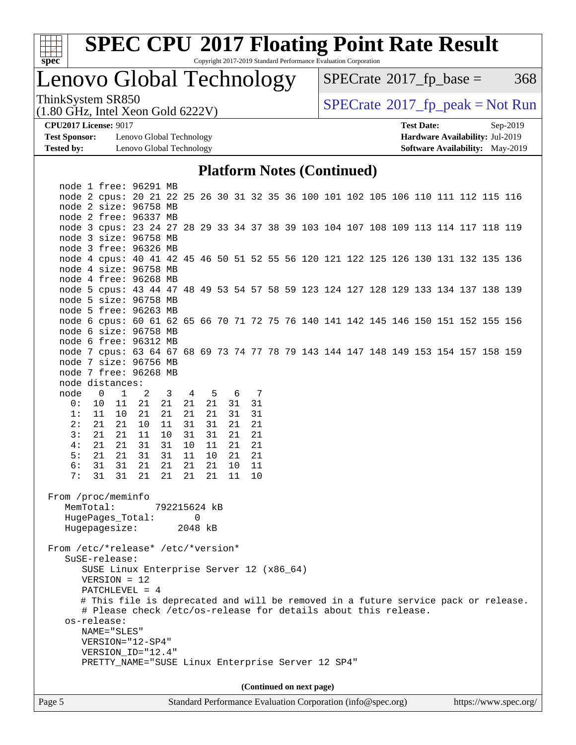

Copyright 2017-2019 Standard Performance Evaluation Corporation

# Lenovo Global Technology

 $SPECTate@2017_fp\_base = 368$ 

(1.80 GHz, Intel Xeon Gold 6222V)

ThinkSystem SR850<br>(1.80 GHz, Intel Xeon Gold 6222V) [SPECrate](http://www.spec.org/auto/cpu2017/Docs/result-fields.html#SPECrate2017fppeak)®[2017\\_fp\\_peak = N](http://www.spec.org/auto/cpu2017/Docs/result-fields.html#SPECrate2017fppeak)ot Run

**[Test Sponsor:](http://www.spec.org/auto/cpu2017/Docs/result-fields.html#TestSponsor)** Lenovo Global Technology **[Hardware Availability:](http://www.spec.org/auto/cpu2017/Docs/result-fields.html#HardwareAvailability)** Jul-2019 **[Tested by:](http://www.spec.org/auto/cpu2017/Docs/result-fields.html#Testedby)** Lenovo Global Technology **[Software Availability:](http://www.spec.org/auto/cpu2017/Docs/result-fields.html#SoftwareAvailability)** May-2019

**[CPU2017 License:](http://www.spec.org/auto/cpu2017/Docs/result-fields.html#CPU2017License)** 9017 **[Test Date:](http://www.spec.org/auto/cpu2017/Docs/result-fields.html#TestDate)** Sep-2019

#### **[Platform Notes \(Continued\)](http://www.spec.org/auto/cpu2017/Docs/result-fields.html#PlatformNotes)**

|                                                                                                                                     |                                                   | node 1 free: 96291 MB                                                                                       |    |                         |    |     |  |     |    |  |                          |  |  |  |  |  |
|-------------------------------------------------------------------------------------------------------------------------------------|---------------------------------------------------|-------------------------------------------------------------------------------------------------------------|----|-------------------------|----|-----|--|-----|----|--|--------------------------|--|--|--|--|--|
|                                                                                                                                     |                                                   | node 2 cpus: 20 21 22 25 26 30 31 32 35 36 100 101 102 105 106 110 111 112 115 116                          |    |                         |    |     |  |     |    |  |                          |  |  |  |  |  |
|                                                                                                                                     |                                                   | node 2 size: 96758 MB                                                                                       |    |                         |    |     |  |     |    |  |                          |  |  |  |  |  |
|                                                                                                                                     |                                                   | node 2 free: 96337 MB                                                                                       |    |                         |    |     |  |     |    |  |                          |  |  |  |  |  |
|                                                                                                                                     |                                                   | node 3 cpus: 23 24 27 28 29 33 34 37 38 39 103 104 107 108 109 113 114 117 118 119                          |    |                         |    |     |  |     |    |  |                          |  |  |  |  |  |
|                                                                                                                                     |                                                   | node 3 size: 96758 MB                                                                                       |    |                         |    |     |  |     |    |  |                          |  |  |  |  |  |
|                                                                                                                                     |                                                   | node 3 free: 96326 MB                                                                                       |    |                         |    |     |  |     |    |  |                          |  |  |  |  |  |
|                                                                                                                                     |                                                   | node 4 cpus: 40 41 42 45 46 50 51 52 55 56 120 121 122 125 126 130 131 132 135 136                          |    |                         |    |     |  |     |    |  |                          |  |  |  |  |  |
|                                                                                                                                     |                                                   | node 4 size: 96758 MB                                                                                       |    |                         |    |     |  |     |    |  |                          |  |  |  |  |  |
|                                                                                                                                     |                                                   | node 4 free: 96268 MB                                                                                       |    |                         |    |     |  |     |    |  |                          |  |  |  |  |  |
|                                                                                                                                     |                                                   | node 5 cpus: 43 44 47 48 49 53 54 57 58 59 123 124 127 128 129 133 134 137 138 139                          |    |                         |    |     |  |     |    |  |                          |  |  |  |  |  |
|                                                                                                                                     |                                                   | node 5 size: 96758 MB                                                                                       |    |                         |    |     |  |     |    |  |                          |  |  |  |  |  |
|                                                                                                                                     |                                                   | node 5 free: 96263 MB<br>node 6 cpus: 60 61 62 65 66 70 71 72 75 76 140 141 142 145 146 150 151 152 155 156 |    |                         |    |     |  |     |    |  |                          |  |  |  |  |  |
|                                                                                                                                     |                                                   |                                                                                                             |    |                         |    |     |  |     |    |  |                          |  |  |  |  |  |
|                                                                                                                                     |                                                   | node 6 size: 96758 MB<br>node 6 free: 96312 MB                                                              |    |                         |    |     |  |     |    |  |                          |  |  |  |  |  |
|                                                                                                                                     |                                                   | node 7 cpus: 63 64 67 68 69 73 74 77 78 79 143 144 147 148 149 153 154 157 158 159                          |    |                         |    |     |  |     |    |  |                          |  |  |  |  |  |
|                                                                                                                                     |                                                   | node 7 size: 96756 MB                                                                                       |    |                         |    |     |  |     |    |  |                          |  |  |  |  |  |
|                                                                                                                                     |                                                   | node 7 free: 96268 MB                                                                                       |    |                         |    |     |  |     |    |  |                          |  |  |  |  |  |
|                                                                                                                                     |                                                   | node distances:                                                                                             |    |                         |    |     |  |     |    |  |                          |  |  |  |  |  |
| node                                                                                                                                |                                                   | $\overline{0}$<br>$\mathbf{1}$                                                                              | 2  | $\overline{\mathbf{3}}$ |    | 4 5 |  | 6 7 |    |  |                          |  |  |  |  |  |
| 0:                                                                                                                                  |                                                   | 10<br>11                                                                                                    | 21 | 21                      | 21 | 21  |  | 31  | 31 |  |                          |  |  |  |  |  |
| 1:                                                                                                                                  |                                                   | 11<br>10                                                                                                    | 21 | 21                      | 21 | 21  |  | 31  | 31 |  |                          |  |  |  |  |  |
| 2:                                                                                                                                  |                                                   | 21 21                                                                                                       | 10 | 11                      | 31 | 31  |  | 21  | 21 |  |                          |  |  |  |  |  |
| 3:                                                                                                                                  |                                                   | 21 21                                                                                                       | 11 | 10                      | 31 | 31  |  | 21  | 21 |  |                          |  |  |  |  |  |
| 4 :                                                                                                                                 |                                                   | 21<br>-21                                                                                                   | 31 | 31                      | 10 | 11  |  | 21  | 21 |  |                          |  |  |  |  |  |
| 5:                                                                                                                                  |                                                   | 21 21                                                                                                       | 31 | 31                      | 11 | 10  |  | 21  | 21 |  |                          |  |  |  |  |  |
| 6:                                                                                                                                  |                                                   | 31 31                                                                                                       | 21 | 21                      | 21 | 21  |  | 10  | 11 |  |                          |  |  |  |  |  |
| 7:                                                                                                                                  |                                                   | 31<br>31                                                                                                    | 21 | 21                      | 21 | 21  |  | 11  | 10 |  |                          |  |  |  |  |  |
| From /proc/meminfo<br>MemTotal:<br>792215624 kB<br>HugePages_Total:<br>0<br>Hugepagesize:<br>2048 kB                                |                                                   |                                                                                                             |    |                         |    |     |  |     |    |  |                          |  |  |  |  |  |
|                                                                                                                                     |                                                   |                                                                                                             |    |                         |    |     |  |     |    |  |                          |  |  |  |  |  |
| From /etc/*release* /etc/*version*<br>SuSE-release:<br>SUSE Linux Enterprise Server 12 (x86_64)<br>$VERSION = 12$<br>PATCHLEVEL = 4 |                                                   |                                                                                                             |    |                         |    |     |  |     |    |  |                          |  |  |  |  |  |
|                                                                                                                                     |                                                   | # This file is deprecated and will be removed in a future service pack or release.                          |    |                         |    |     |  |     |    |  |                          |  |  |  |  |  |
| # Please check /etc/os-release for details about this release.                                                                      |                                                   |                                                                                                             |    |                         |    |     |  |     |    |  |                          |  |  |  |  |  |
|                                                                                                                                     |                                                   | os-release:                                                                                                 |    |                         |    |     |  |     |    |  |                          |  |  |  |  |  |
|                                                                                                                                     | NAME="SLES"                                       |                                                                                                             |    |                         |    |     |  |     |    |  |                          |  |  |  |  |  |
| VERSION="12-SP4"                                                                                                                    |                                                   |                                                                                                             |    |                         |    |     |  |     |    |  |                          |  |  |  |  |  |
| VERSION_ID="12.4"                                                                                                                   |                                                   |                                                                                                             |    |                         |    |     |  |     |    |  |                          |  |  |  |  |  |
|                                                                                                                                     | PRETTY_NAME="SUSE Linux Enterprise Server 12 SP4" |                                                                                                             |    |                         |    |     |  |     |    |  |                          |  |  |  |  |  |
|                                                                                                                                     |                                                   |                                                                                                             |    |                         |    |     |  |     |    |  |                          |  |  |  |  |  |
|                                                                                                                                     |                                                   |                                                                                                             |    |                         |    |     |  |     |    |  | (Continued on next page) |  |  |  |  |  |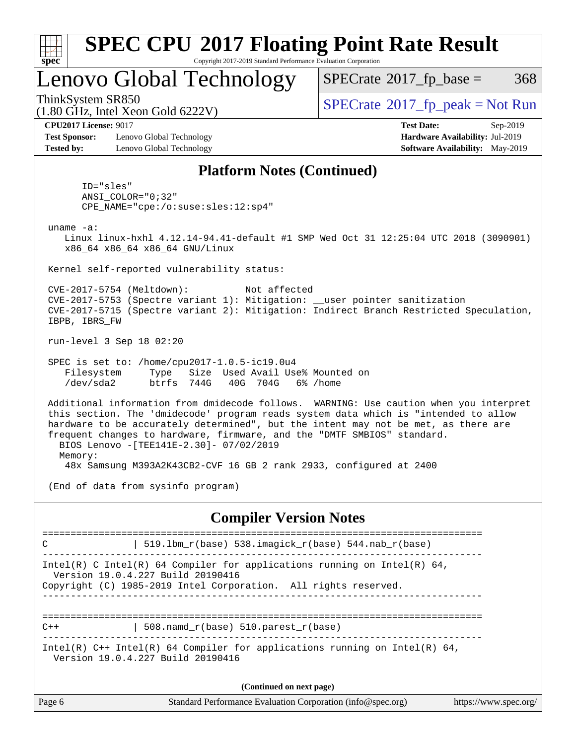| SI<br>ne |  |  |  |  |  |  |  |
|----------|--|--|--|--|--|--|--|

## Lenovo Global Technology

 $SPECTate$ <sup>®</sup>[2017\\_fp\\_base =](http://www.spec.org/auto/cpu2017/Docs/result-fields.html#SPECrate2017fpbase) 368

(1.80 GHz, Intel Xeon Gold 6222V)

ThinkSystem SR850 [SPECrate](http://www.spec.org/auto/cpu2017/Docs/result-fields.html#SPECrate2017fppeak)[2017\\_fp\\_peak = N](http://www.spec.org/auto/cpu2017/Docs/result-fields.html#SPECrate2017fppeak)ot Run

**[CPU2017 License:](http://www.spec.org/auto/cpu2017/Docs/result-fields.html#CPU2017License)** 9017 **[Test Date:](http://www.spec.org/auto/cpu2017/Docs/result-fields.html#TestDate)** Sep-2019

**[Test Sponsor:](http://www.spec.org/auto/cpu2017/Docs/result-fields.html#TestSponsor)** Lenovo Global Technology **[Hardware Availability:](http://www.spec.org/auto/cpu2017/Docs/result-fields.html#HardwareAvailability)** Jul-2019 **[Tested by:](http://www.spec.org/auto/cpu2017/Docs/result-fields.html#Testedby)** Lenovo Global Technology **[Software Availability:](http://www.spec.org/auto/cpu2017/Docs/result-fields.html#SoftwareAvailability)** May-2019

### **[Platform Notes \(Continued\)](http://www.spec.org/auto/cpu2017/Docs/result-fields.html#PlatformNotes)**

 ID="sles" ANSI\_COLOR="0;32" CPE\_NAME="cpe:/o:suse:sles:12:sp4"

uname -a:

 Linux linux-hxhl 4.12.14-94.41-default #1 SMP Wed Oct 31 12:25:04 UTC 2018 (3090901) x86\_64 x86\_64 x86\_64 GNU/Linux

Kernel self-reported vulnerability status:

 CVE-2017-5754 (Meltdown): Not affected CVE-2017-5753 (Spectre variant 1): Mitigation: \_\_user pointer sanitization CVE-2017-5715 (Spectre variant 2): Mitigation: Indirect Branch Restricted Speculation, IBPB, IBRS\_FW

run-level 3 Sep 18 02:20

 SPEC is set to: /home/cpu2017-1.0.5-ic19.0u4 Filesystem Type Size Used Avail Use% Mounted on /dev/sda2 btrfs 744G 40G 704G 6% /home

 Additional information from dmidecode follows. WARNING: Use caution when you interpret this section. The 'dmidecode' program reads system data which is "intended to allow hardware to be accurately determined", but the intent may not be met, as there are frequent changes to hardware, firmware, and the "DMTF SMBIOS" standard. BIOS Lenovo -[TEE141E-2.30]- 07/02/2019 Memory: 48x Samsung M393A2K43CB2-CVF 16 GB 2 rank 2933, configured at 2400

(End of data from sysinfo program)

#### **[Compiler Version Notes](http://www.spec.org/auto/cpu2017/Docs/result-fields.html#CompilerVersionNotes)**

============================================================================== C | 519.lbm\_r(base) 538.imagick\_r(base) 544.nab\_r(base) ------------------------------------------------------------------------------ Intel(R) C Intel(R) 64 Compiler for applications running on Intel(R)  $64$ , Version 19.0.4.227 Build 20190416 Copyright (C) 1985-2019 Intel Corporation. All rights reserved. ------------------------------------------------------------------------------ ==============================================================================  $C++$  | 508.namd\_r(base) 510.parest\_r(base) ------------------------------------------------------------------------------ Intel(R)  $C++$  Intel(R) 64 Compiler for applications running on Intel(R) 64, Version 19.0.4.227 Build 20190416 **(Continued on next page)**

| Standard Performance Evaluation Corporation (info@spec.org)<br>Page 6 | https://www.spec.org/ |
|-----------------------------------------------------------------------|-----------------------|
|-----------------------------------------------------------------------|-----------------------|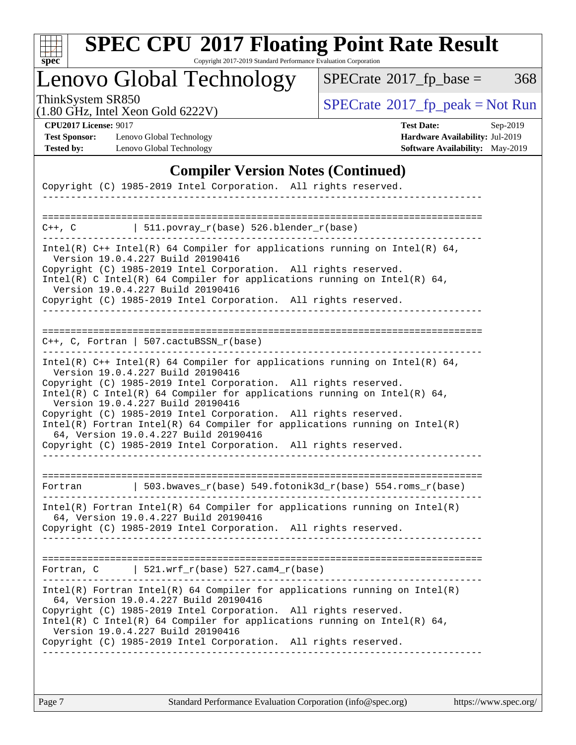

Copyright 2017-2019 Standard Performance Evaluation Corporation

# Lenovo Global Technology

 $SPECTate@2017_fp\_base = 368$ 

(1.80 GHz, Intel Xeon Gold 6222V)

ThinkSystem SR850<br>(1.80 GHz, Intel Xeon Gold 6222V) [SPECrate](http://www.spec.org/auto/cpu2017/Docs/result-fields.html#SPECrate2017fppeak)®[2017\\_fp\\_peak = N](http://www.spec.org/auto/cpu2017/Docs/result-fields.html#SPECrate2017fppeak)ot Run

**[Test Sponsor:](http://www.spec.org/auto/cpu2017/Docs/result-fields.html#TestSponsor)** Lenovo Global Technology **[Hardware Availability:](http://www.spec.org/auto/cpu2017/Docs/result-fields.html#HardwareAvailability)** Jul-2019 **[Tested by:](http://www.spec.org/auto/cpu2017/Docs/result-fields.html#Testedby)** Lenovo Global Technology **[Software Availability:](http://www.spec.org/auto/cpu2017/Docs/result-fields.html#SoftwareAvailability)** May-2019

**[CPU2017 License:](http://www.spec.org/auto/cpu2017/Docs/result-fields.html#CPU2017License)** 9017 **[Test Date:](http://www.spec.org/auto/cpu2017/Docs/result-fields.html#TestDate)** Sep-2019

#### **[Compiler Version Notes \(Continued\)](http://www.spec.org/auto/cpu2017/Docs/result-fields.html#CompilerVersionNotes)**

| Copyright (C) 1985-2019 Intel Corporation. All rights reserved.                                                                                                                                                                                                                                                                                                                                                                                                                                                                                                  |
|------------------------------------------------------------------------------------------------------------------------------------------------------------------------------------------------------------------------------------------------------------------------------------------------------------------------------------------------------------------------------------------------------------------------------------------------------------------------------------------------------------------------------------------------------------------|
|                                                                                                                                                                                                                                                                                                                                                                                                                                                                                                                                                                  |
| $C++$ , $C$<br>$  511.povray_r(base) 526.blender_r(base)$                                                                                                                                                                                                                                                                                                                                                                                                                                                                                                        |
| Intel(R) $C++$ Intel(R) 64 Compiler for applications running on Intel(R) 64,<br>Version 19.0.4.227 Build 20190416<br>Copyright (C) 1985-2019 Intel Corporation. All rights reserved.<br>$Intel(R)$ C Intel(R) 64 Compiler for applications running on Intel(R) 64,<br>Version 19.0.4.227 Build 20190416<br>Copyright (C) 1985-2019 Intel Corporation. All rights reserved.                                                                                                                                                                                       |
| C++, C, Fortran   507.cactuBSSN_r(base)                                                                                                                                                                                                                                                                                                                                                                                                                                                                                                                          |
| Intel(R) C++ Intel(R) 64 Compiler for applications running on Intel(R) 64,<br>Version 19.0.4.227 Build 20190416<br>Copyright (C) 1985-2019 Intel Corporation. All rights reserved.<br>Intel(R) C Intel(R) 64 Compiler for applications running on Intel(R) 64,<br>Version 19.0.4.227 Build 20190416<br>Copyright (C) 1985-2019 Intel Corporation. All rights reserved.<br>Intel(R) Fortran Intel(R) 64 Compiler for applications running on Intel(R)<br>64, Version 19.0.4.227 Build 20190416<br>Copyright (C) 1985-2019 Intel Corporation. All rights reserved. |
| 503.bwaves_r(base) 549.fotonik3d_r(base) 554.roms_r(base)<br>Fortran                                                                                                                                                                                                                                                                                                                                                                                                                                                                                             |
| Intel(R) Fortran Intel(R) 64 Compiler for applications running on Intel(R)<br>64, Version 19.0.4.227 Build 20190416<br>Copyright (C) 1985-2019 Intel Corporation. All rights reserved.                                                                                                                                                                                                                                                                                                                                                                           |
| Fortran, $C$   521.wrf_r(base) 527.cam4_r(base)                                                                                                                                                                                                                                                                                                                                                                                                                                                                                                                  |
| Intel(R) Fortran Intel(R) 64 Compiler for applications running on Intel(R)<br>64, Version 19.0.4.227 Build 20190416<br>Copyright (C) 1985-2019 Intel Corporation. All rights reserved.<br>Intel(R) C Intel(R) 64 Compiler for applications running on Intel(R) 64,<br>Version 19.0.4.227 Build 20190416<br>Copyright (C) 1985-2019 Intel Corporation. All rights reserved.                                                                                                                                                                                       |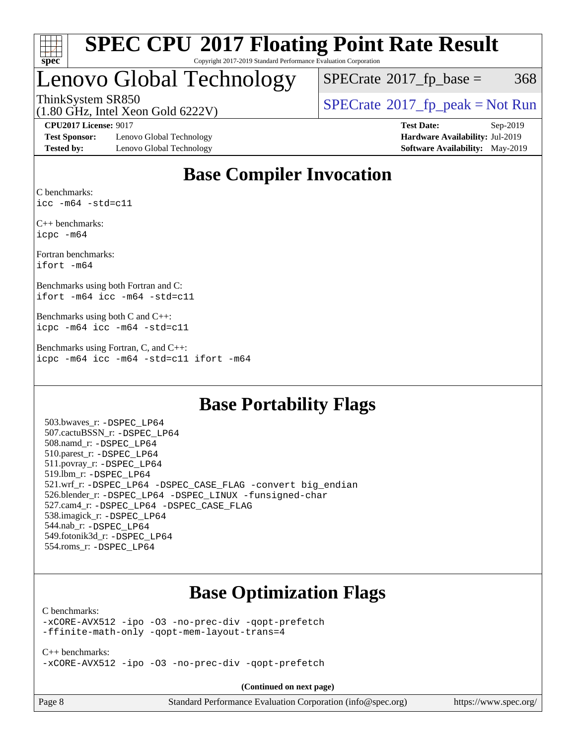

# Lenovo Global Technology

 $SPECTate@2017<sub>fp</sub> base =  $368$$ 

ThinkSystem SR850<br>(1.80 GHz, Intel Year Gold 6222V) [SPECrate](http://www.spec.org/auto/cpu2017/Docs/result-fields.html#SPECrate2017fppeak)®[2017\\_fp\\_peak = N](http://www.spec.org/auto/cpu2017/Docs/result-fields.html#SPECrate2017fppeak)ot Run

(1.80 GHz, Intel Xeon Gold 6222V)

**[Test Sponsor:](http://www.spec.org/auto/cpu2017/Docs/result-fields.html#TestSponsor)** Lenovo Global Technology **[Hardware Availability:](http://www.spec.org/auto/cpu2017/Docs/result-fields.html#HardwareAvailability)** Jul-2019 **[Tested by:](http://www.spec.org/auto/cpu2017/Docs/result-fields.html#Testedby)** Lenovo Global Technology **[Software Availability:](http://www.spec.org/auto/cpu2017/Docs/result-fields.html#SoftwareAvailability)** May-2019

**[CPU2017 License:](http://www.spec.org/auto/cpu2017/Docs/result-fields.html#CPU2017License)** 9017 **[Test Date:](http://www.spec.org/auto/cpu2017/Docs/result-fields.html#TestDate)** Sep-2019

### **[Base Compiler Invocation](http://www.spec.org/auto/cpu2017/Docs/result-fields.html#BaseCompilerInvocation)**

[C benchmarks](http://www.spec.org/auto/cpu2017/Docs/result-fields.html#Cbenchmarks): [icc -m64 -std=c11](http://www.spec.org/cpu2017/results/res2019q4/cpu2017-20190926-18709.flags.html#user_CCbase_intel_icc_64bit_c11_33ee0cdaae7deeeab2a9725423ba97205ce30f63b9926c2519791662299b76a0318f32ddfffdc46587804de3178b4f9328c46fa7c2b0cd779d7a61945c91cd35)

[C++ benchmarks:](http://www.spec.org/auto/cpu2017/Docs/result-fields.html#CXXbenchmarks) [icpc -m64](http://www.spec.org/cpu2017/results/res2019q4/cpu2017-20190926-18709.flags.html#user_CXXbase_intel_icpc_64bit_4ecb2543ae3f1412ef961e0650ca070fec7b7afdcd6ed48761b84423119d1bf6bdf5cad15b44d48e7256388bc77273b966e5eb805aefd121eb22e9299b2ec9d9)

[Fortran benchmarks:](http://www.spec.org/auto/cpu2017/Docs/result-fields.html#Fortranbenchmarks) [ifort -m64](http://www.spec.org/cpu2017/results/res2019q4/cpu2017-20190926-18709.flags.html#user_FCbase_intel_ifort_64bit_24f2bb282fbaeffd6157abe4f878425411749daecae9a33200eee2bee2fe76f3b89351d69a8130dd5949958ce389cf37ff59a95e7a40d588e8d3a57e0c3fd751)

[Benchmarks using both Fortran and C](http://www.spec.org/auto/cpu2017/Docs/result-fields.html#BenchmarksusingbothFortranandC): [ifort -m64](http://www.spec.org/cpu2017/results/res2019q4/cpu2017-20190926-18709.flags.html#user_CC_FCbase_intel_ifort_64bit_24f2bb282fbaeffd6157abe4f878425411749daecae9a33200eee2bee2fe76f3b89351d69a8130dd5949958ce389cf37ff59a95e7a40d588e8d3a57e0c3fd751) [icc -m64 -std=c11](http://www.spec.org/cpu2017/results/res2019q4/cpu2017-20190926-18709.flags.html#user_CC_FCbase_intel_icc_64bit_c11_33ee0cdaae7deeeab2a9725423ba97205ce30f63b9926c2519791662299b76a0318f32ddfffdc46587804de3178b4f9328c46fa7c2b0cd779d7a61945c91cd35)

[Benchmarks using both C and C++:](http://www.spec.org/auto/cpu2017/Docs/result-fields.html#BenchmarksusingbothCandCXX) [icpc -m64](http://www.spec.org/cpu2017/results/res2019q4/cpu2017-20190926-18709.flags.html#user_CC_CXXbase_intel_icpc_64bit_4ecb2543ae3f1412ef961e0650ca070fec7b7afdcd6ed48761b84423119d1bf6bdf5cad15b44d48e7256388bc77273b966e5eb805aefd121eb22e9299b2ec9d9) [icc -m64 -std=c11](http://www.spec.org/cpu2017/results/res2019q4/cpu2017-20190926-18709.flags.html#user_CC_CXXbase_intel_icc_64bit_c11_33ee0cdaae7deeeab2a9725423ba97205ce30f63b9926c2519791662299b76a0318f32ddfffdc46587804de3178b4f9328c46fa7c2b0cd779d7a61945c91cd35)

[Benchmarks using Fortran, C, and C++](http://www.spec.org/auto/cpu2017/Docs/result-fields.html#BenchmarksusingFortranCandCXX): [icpc -m64](http://www.spec.org/cpu2017/results/res2019q4/cpu2017-20190926-18709.flags.html#user_CC_CXX_FCbase_intel_icpc_64bit_4ecb2543ae3f1412ef961e0650ca070fec7b7afdcd6ed48761b84423119d1bf6bdf5cad15b44d48e7256388bc77273b966e5eb805aefd121eb22e9299b2ec9d9) [icc -m64 -std=c11](http://www.spec.org/cpu2017/results/res2019q4/cpu2017-20190926-18709.flags.html#user_CC_CXX_FCbase_intel_icc_64bit_c11_33ee0cdaae7deeeab2a9725423ba97205ce30f63b9926c2519791662299b76a0318f32ddfffdc46587804de3178b4f9328c46fa7c2b0cd779d7a61945c91cd35) [ifort -m64](http://www.spec.org/cpu2017/results/res2019q4/cpu2017-20190926-18709.flags.html#user_CC_CXX_FCbase_intel_ifort_64bit_24f2bb282fbaeffd6157abe4f878425411749daecae9a33200eee2bee2fe76f3b89351d69a8130dd5949958ce389cf37ff59a95e7a40d588e8d3a57e0c3fd751)

### **[Base Portability Flags](http://www.spec.org/auto/cpu2017/Docs/result-fields.html#BasePortabilityFlags)**

 503.bwaves\_r: [-DSPEC\\_LP64](http://www.spec.org/cpu2017/results/res2019q4/cpu2017-20190926-18709.flags.html#suite_basePORTABILITY503_bwaves_r_DSPEC_LP64) 507.cactuBSSN\_r: [-DSPEC\\_LP64](http://www.spec.org/cpu2017/results/res2019q4/cpu2017-20190926-18709.flags.html#suite_basePORTABILITY507_cactuBSSN_r_DSPEC_LP64) 508.namd\_r: [-DSPEC\\_LP64](http://www.spec.org/cpu2017/results/res2019q4/cpu2017-20190926-18709.flags.html#suite_basePORTABILITY508_namd_r_DSPEC_LP64) 510.parest\_r: [-DSPEC\\_LP64](http://www.spec.org/cpu2017/results/res2019q4/cpu2017-20190926-18709.flags.html#suite_basePORTABILITY510_parest_r_DSPEC_LP64) 511.povray\_r: [-DSPEC\\_LP64](http://www.spec.org/cpu2017/results/res2019q4/cpu2017-20190926-18709.flags.html#suite_basePORTABILITY511_povray_r_DSPEC_LP64) 519.lbm\_r: [-DSPEC\\_LP64](http://www.spec.org/cpu2017/results/res2019q4/cpu2017-20190926-18709.flags.html#suite_basePORTABILITY519_lbm_r_DSPEC_LP64) 521.wrf\_r: [-DSPEC\\_LP64](http://www.spec.org/cpu2017/results/res2019q4/cpu2017-20190926-18709.flags.html#suite_basePORTABILITY521_wrf_r_DSPEC_LP64) [-DSPEC\\_CASE\\_FLAG](http://www.spec.org/cpu2017/results/res2019q4/cpu2017-20190926-18709.flags.html#b521.wrf_r_baseCPORTABILITY_DSPEC_CASE_FLAG) [-convert big\\_endian](http://www.spec.org/cpu2017/results/res2019q4/cpu2017-20190926-18709.flags.html#user_baseFPORTABILITY521_wrf_r_convert_big_endian_c3194028bc08c63ac5d04de18c48ce6d347e4e562e8892b8bdbdc0214820426deb8554edfa529a3fb25a586e65a3d812c835984020483e7e73212c4d31a38223) 526.blender\_r: [-DSPEC\\_LP64](http://www.spec.org/cpu2017/results/res2019q4/cpu2017-20190926-18709.flags.html#suite_basePORTABILITY526_blender_r_DSPEC_LP64) [-DSPEC\\_LINUX](http://www.spec.org/cpu2017/results/res2019q4/cpu2017-20190926-18709.flags.html#b526.blender_r_baseCPORTABILITY_DSPEC_LINUX) [-funsigned-char](http://www.spec.org/cpu2017/results/res2019q4/cpu2017-20190926-18709.flags.html#user_baseCPORTABILITY526_blender_r_force_uchar_40c60f00ab013830e2dd6774aeded3ff59883ba5a1fc5fc14077f794d777847726e2a5858cbc7672e36e1b067e7e5c1d9a74f7176df07886a243d7cc18edfe67) 527.cam4\_r: [-DSPEC\\_LP64](http://www.spec.org/cpu2017/results/res2019q4/cpu2017-20190926-18709.flags.html#suite_basePORTABILITY527_cam4_r_DSPEC_LP64) [-DSPEC\\_CASE\\_FLAG](http://www.spec.org/cpu2017/results/res2019q4/cpu2017-20190926-18709.flags.html#b527.cam4_r_baseCPORTABILITY_DSPEC_CASE_FLAG) 538.imagick\_r: [-DSPEC\\_LP64](http://www.spec.org/cpu2017/results/res2019q4/cpu2017-20190926-18709.flags.html#suite_basePORTABILITY538_imagick_r_DSPEC_LP64) 544.nab\_r: [-DSPEC\\_LP64](http://www.spec.org/cpu2017/results/res2019q4/cpu2017-20190926-18709.flags.html#suite_basePORTABILITY544_nab_r_DSPEC_LP64) 549.fotonik3d\_r: [-DSPEC\\_LP64](http://www.spec.org/cpu2017/results/res2019q4/cpu2017-20190926-18709.flags.html#suite_basePORTABILITY549_fotonik3d_r_DSPEC_LP64) 554.roms\_r: [-DSPEC\\_LP64](http://www.spec.org/cpu2017/results/res2019q4/cpu2017-20190926-18709.flags.html#suite_basePORTABILITY554_roms_r_DSPEC_LP64)

### **[Base Optimization Flags](http://www.spec.org/auto/cpu2017/Docs/result-fields.html#BaseOptimizationFlags)**

#### [C benchmarks](http://www.spec.org/auto/cpu2017/Docs/result-fields.html#Cbenchmarks):

[-xCORE-AVX512](http://www.spec.org/cpu2017/results/res2019q4/cpu2017-20190926-18709.flags.html#user_CCbase_f-xCORE-AVX512) [-ipo](http://www.spec.org/cpu2017/results/res2019q4/cpu2017-20190926-18709.flags.html#user_CCbase_f-ipo) [-O3](http://www.spec.org/cpu2017/results/res2019q4/cpu2017-20190926-18709.flags.html#user_CCbase_f-O3) [-no-prec-div](http://www.spec.org/cpu2017/results/res2019q4/cpu2017-20190926-18709.flags.html#user_CCbase_f-no-prec-div) [-qopt-prefetch](http://www.spec.org/cpu2017/results/res2019q4/cpu2017-20190926-18709.flags.html#user_CCbase_f-qopt-prefetch) [-ffinite-math-only](http://www.spec.org/cpu2017/results/res2019q4/cpu2017-20190926-18709.flags.html#user_CCbase_f_finite_math_only_cb91587bd2077682c4b38af759c288ed7c732db004271a9512da14a4f8007909a5f1427ecbf1a0fb78ff2a814402c6114ac565ca162485bbcae155b5e4258871) [-qopt-mem-layout-trans=4](http://www.spec.org/cpu2017/results/res2019q4/cpu2017-20190926-18709.flags.html#user_CCbase_f-qopt-mem-layout-trans_fa39e755916c150a61361b7846f310bcdf6f04e385ef281cadf3647acec3f0ae266d1a1d22d972a7087a248fd4e6ca390a3634700869573d231a252c784941a8)

[C++ benchmarks:](http://www.spec.org/auto/cpu2017/Docs/result-fields.html#CXXbenchmarks) [-xCORE-AVX512](http://www.spec.org/cpu2017/results/res2019q4/cpu2017-20190926-18709.flags.html#user_CXXbase_f-xCORE-AVX512) [-ipo](http://www.spec.org/cpu2017/results/res2019q4/cpu2017-20190926-18709.flags.html#user_CXXbase_f-ipo) [-O3](http://www.spec.org/cpu2017/results/res2019q4/cpu2017-20190926-18709.flags.html#user_CXXbase_f-O3) [-no-prec-div](http://www.spec.org/cpu2017/results/res2019q4/cpu2017-20190926-18709.flags.html#user_CXXbase_f-no-prec-div) [-qopt-prefetch](http://www.spec.org/cpu2017/results/res2019q4/cpu2017-20190926-18709.flags.html#user_CXXbase_f-qopt-prefetch)

**(Continued on next page)**

| Page 8 |  |
|--------|--|
|--------|--|

Page 8 Standard Performance Evaluation Corporation [\(info@spec.org\)](mailto:info@spec.org) <https://www.spec.org/>